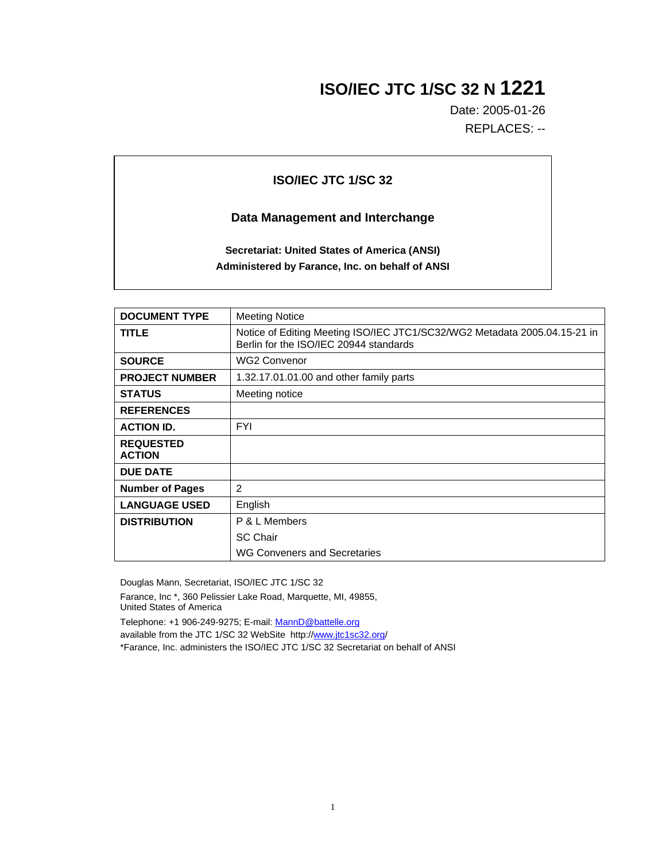## **ISO/IEC JTC 1/SC 32 N 1221**

Date: 2005-01-26 REPLACES: --

## **ISO/IEC JTC 1/SC 32**

## **Data Management and Interchange**

**Secretariat: United States of America (ANSI) Administered by Farance, Inc. on behalf of ANSI**

| <b>DOCUMENT TYPE</b>              | <b>Meeting Notice</b>                                                                                               |
|-----------------------------------|---------------------------------------------------------------------------------------------------------------------|
| <b>TITLE</b>                      | Notice of Editing Meeting ISO/IEC JTC1/SC32/WG2 Metadata 2005.04.15-21 in<br>Berlin for the ISO/IEC 20944 standards |
| <b>SOURCE</b>                     | <b>WG2 Convenor</b>                                                                                                 |
| <b>PROJECT NUMBER</b>             | 1.32.17.01.01.00 and other family parts                                                                             |
| <b>STATUS</b>                     | Meeting notice                                                                                                      |
| <b>REFERENCES</b>                 |                                                                                                                     |
| <b>ACTION ID.</b>                 | <b>FYI</b>                                                                                                          |
| <b>REQUESTED</b><br><b>ACTION</b> |                                                                                                                     |
| <b>DUE DATE</b>                   |                                                                                                                     |
| <b>Number of Pages</b>            | 2                                                                                                                   |
| <b>LANGUAGE USED</b>              | English                                                                                                             |
| <b>DISTRIBUTION</b>               | P & L Members                                                                                                       |
|                                   | <b>SC Chair</b>                                                                                                     |
|                                   | WG Conveners and Secretaries                                                                                        |

Douglas Mann, Secretariat, ISO/IEC JTC 1/SC 32

Farance, Inc \*, 360 Pelissier Lake Road, Marquette, MI, 49855, United States of America

Telephone: +1 906-249-9275; E-mail: MannD@battelle.org

available from the JTC 1/SC 32 WebSite http://www.jtc1sc32.org/

\*Farance, Inc. administers the ISO/IEC JTC 1/SC 32 Secretariat on behalf of ANSI